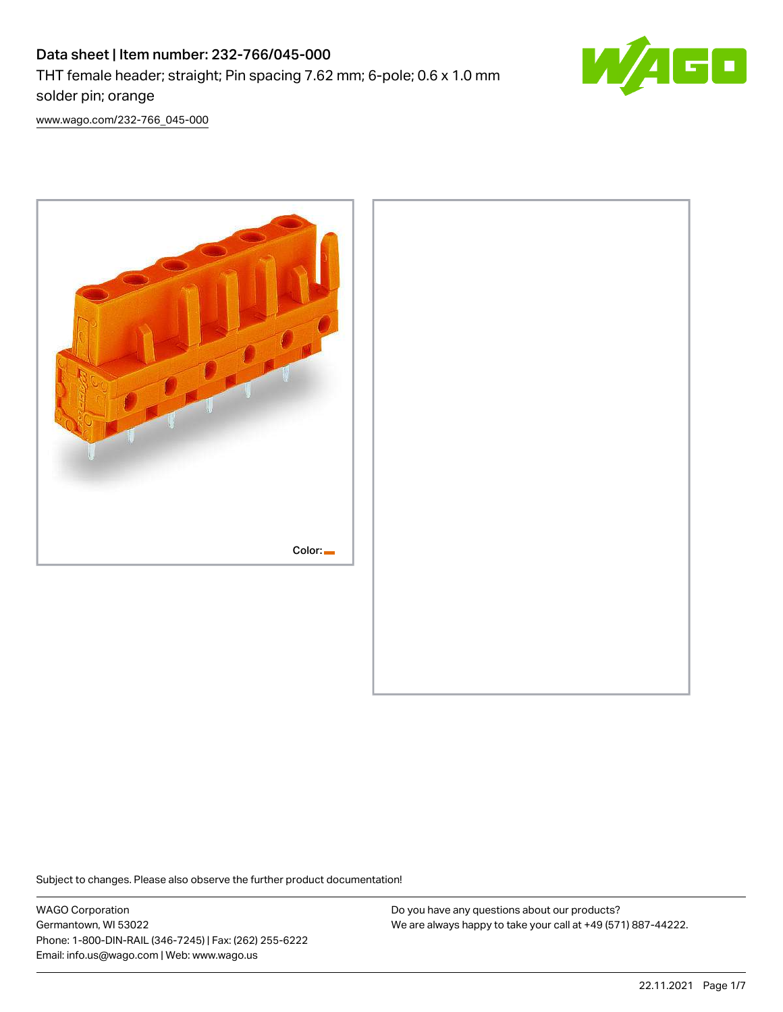

[www.wago.com/232-766\\_045-000](http://www.wago.com/232-766_045-000)



Subject to changes. Please also observe the further product documentation!

WAGO Corporation Germantown, WI 53022 Phone: 1-800-DIN-RAIL (346-7245) | Fax: (262) 255-6222 Email: info.us@wago.com | Web: www.wago.us

Do you have any questions about our products? We are always happy to take your call at +49 (571) 887-44222.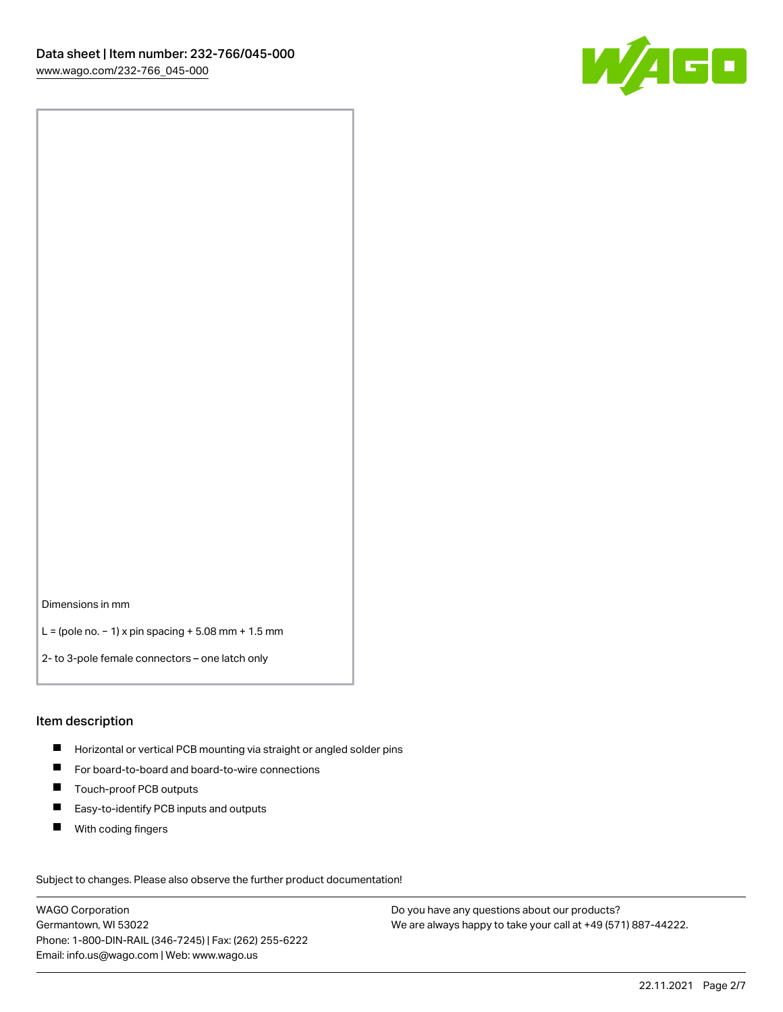

Dimensions in mm

L = (pole no. − 1) x pin spacing + 5.08 mm + 1.5 mm

2- to 3-pole female connectors – one latch only

#### Item description

- **H** Horizontal or vertical PCB mounting via straight or angled solder pins
- For board-to-board and board-to-wire connections
- Touch-proof PCB outputs  $\blacksquare$
- $\blacksquare$ Easy-to-identify PCB inputs and outputs
- $\blacksquare$ With coding fingers

Subject to changes. Please also observe the further product documentation! Data

WAGO Corporation Germantown, WI 53022 Phone: 1-800-DIN-RAIL (346-7245) | Fax: (262) 255-6222 Email: info.us@wago.com | Web: www.wago.us

Do you have any questions about our products? We are always happy to take your call at +49 (571) 887-44222.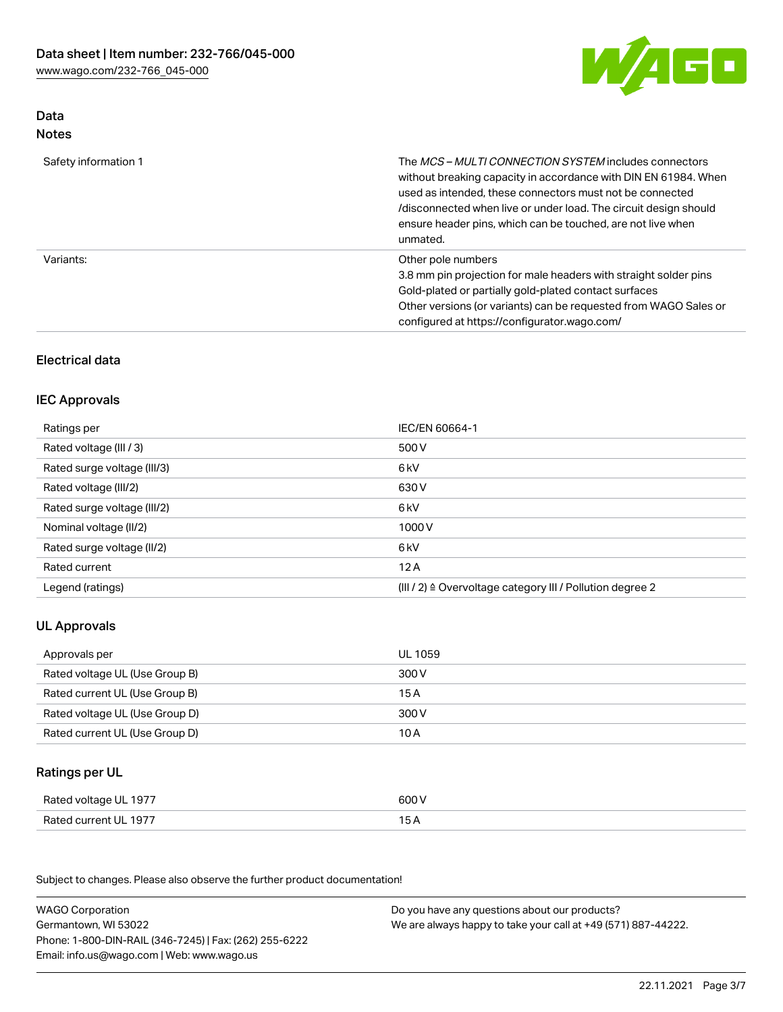

# Data Notes

| Safety information 1 | The MCS-MULTI CONNECTION SYSTEM includes connectors<br>without breaking capacity in accordance with DIN EN 61984. When<br>used as intended, these connectors must not be connected<br>/disconnected when live or under load. The circuit design should<br>ensure header pins, which can be touched, are not live when<br>unmated. |
|----------------------|-----------------------------------------------------------------------------------------------------------------------------------------------------------------------------------------------------------------------------------------------------------------------------------------------------------------------------------|
| Variants:            | Other pole numbers<br>3.8 mm pin projection for male headers with straight solder pins<br>Gold-plated or partially gold-plated contact surfaces<br>Other versions (or variants) can be requested from WAGO Sales or<br>configured at https://configurator.wago.com/                                                               |

# Electrical data

## IEC Approvals

| IEC/EN 60664-1                                                        |
|-----------------------------------------------------------------------|
| 500 V                                                                 |
| 6 <sub>kV</sub>                                                       |
| 630 V                                                                 |
| 6 <sub>kV</sub>                                                       |
| 1000V                                                                 |
| 6 <sub>kV</sub>                                                       |
| 12A                                                                   |
| $(III / 2)$ $\triangle$ Overvoltage category III / Pollution degree 2 |
|                                                                       |

# UL Approvals

| Approvals per                  | UL 1059 |
|--------------------------------|---------|
| Rated voltage UL (Use Group B) | 300 V   |
| Rated current UL (Use Group B) | 15 A    |
| Rated voltage UL (Use Group D) | 300 V   |
| Rated current UL (Use Group D) | 10 A    |

# Ratings per UL

| Rated voltage UL 1977 | 600 V |
|-----------------------|-------|
| Rated current UL 1977 | ◡◠    |

Subject to changes. Please also observe the further product documentation!

| <b>WAGO Corporation</b>                                | Do you have any questions about our products?                 |
|--------------------------------------------------------|---------------------------------------------------------------|
| Germantown, WI 53022                                   | We are always happy to take your call at +49 (571) 887-44222. |
| Phone: 1-800-DIN-RAIL (346-7245)   Fax: (262) 255-6222 |                                                               |
| Email: info.us@wago.com   Web: www.wago.us             |                                                               |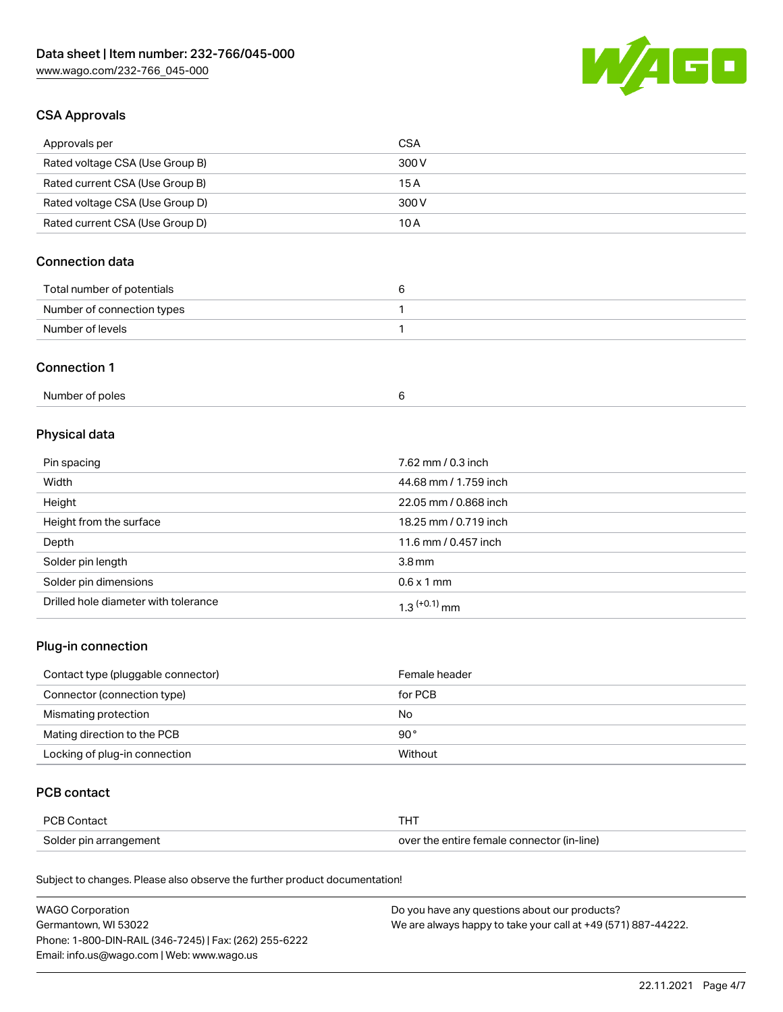

## CSA Approvals

| Approvals per                   | CSA   |
|---------------------------------|-------|
| Rated voltage CSA (Use Group B) | 300 V |
| Rated current CSA (Use Group B) | 15 A  |
| Rated voltage CSA (Use Group D) | 300 V |
| Rated current CSA (Use Group D) | 10 A  |

# Connection data

| Total number of potentials |  |
|----------------------------|--|
| Number of connection types |  |
| Number of levels           |  |

#### Connection 1

| Number of poles |  |
|-----------------|--|
|                 |  |

# Physical data

| Pin spacing                          | 7.62 mm / 0.3 inch    |
|--------------------------------------|-----------------------|
| Width                                | 44.68 mm / 1.759 inch |
| Height                               | 22.05 mm / 0.868 inch |
| Height from the surface              | 18.25 mm / 0.719 inch |
| Depth                                | 11.6 mm / 0.457 inch  |
| Solder pin length                    | 3.8 <sub>mm</sub>     |
| Solder pin dimensions                | $0.6 \times 1$ mm     |
| Drilled hole diameter with tolerance | $1.3$ $(+0.1)$ mm     |

# Plug-in connection

| Contact type (pluggable connector) | Female header |
|------------------------------------|---------------|
| Connector (connection type)        | for PCB       |
| Mismating protection               | No            |
| Mating direction to the PCB        | $90^{\circ}$  |
| Locking of plug-in connection      | Without       |

## PCB contact

| PCB Contact            | THT                                        |
|------------------------|--------------------------------------------|
| Solder pin arrangement | over the entire female connector (in-line) |

Subject to changes. Please also observe the further product documentation!

| <b>WAGO Corporation</b>                                | Do you have any questions about our products?                 |
|--------------------------------------------------------|---------------------------------------------------------------|
| Germantown, WI 53022                                   | We are always happy to take your call at +49 (571) 887-44222. |
| Phone: 1-800-DIN-RAIL (346-7245)   Fax: (262) 255-6222 |                                                               |
| Email: info.us@wago.com   Web: www.wago.us             |                                                               |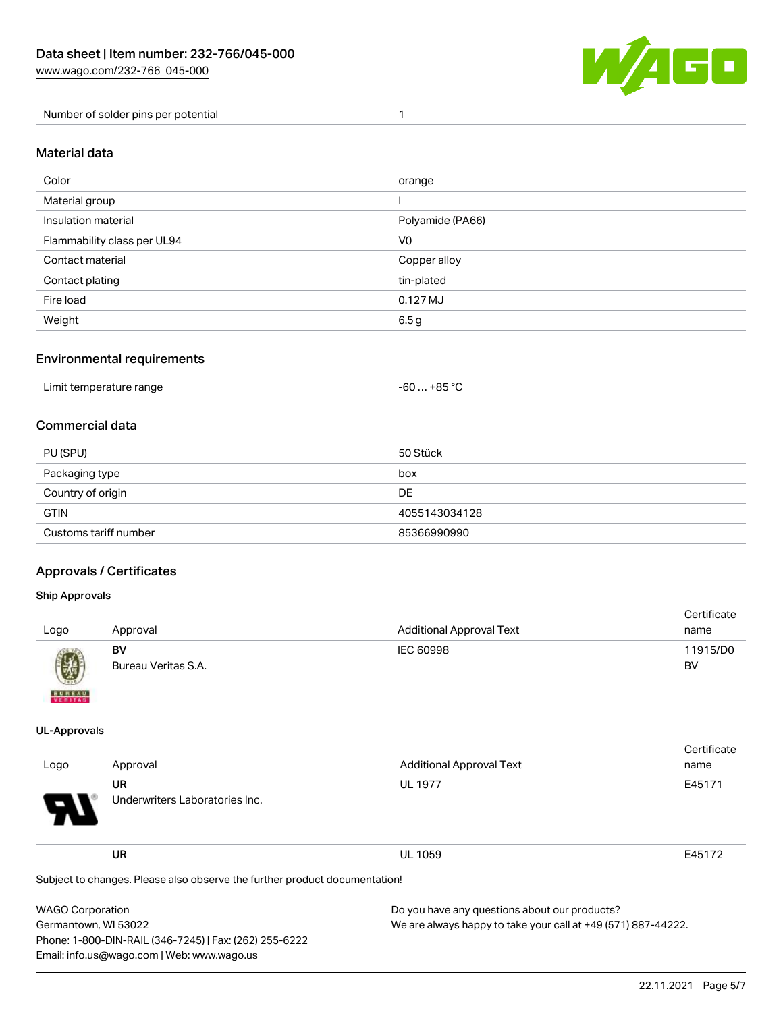

Number of solder pins per potential 1

#### Material data

| Color                       | orange           |
|-----------------------------|------------------|
| Material group              |                  |
| Insulation material         | Polyamide (PA66) |
| Flammability class per UL94 | V <sub>0</sub>   |
| Contact material            | Copper alloy     |
| Contact plating             | tin-plated       |
| Fire load                   | $0.127$ MJ       |
| Weight                      | 6.5g             |

### Environmental requirements

| Limit temperature range<br>. | +85 °ົ<br>-60 |
|------------------------------|---------------|
|------------------------------|---------------|

## Commercial data

| PU (SPU)              | 50 Stück      |
|-----------------------|---------------|
| Packaging type        | box           |
| Country of origin     | DE            |
| <b>GTIN</b>           | 4055143034128 |
| Customs tariff number | 85366990990   |

## Approvals / Certificates

Phone: 1-800-DIN-RAIL (346-7245) | Fax: (262) 255-6222

Email: info.us@wago.com | Web: www.wago.us

#### Ship Approvals

| Logo                                                                                                                                                                                                                                                                                                                                                                                                                                                                                | Approval                  | <b>Additional Approval Text</b> | Certificate<br>name |
|-------------------------------------------------------------------------------------------------------------------------------------------------------------------------------------------------------------------------------------------------------------------------------------------------------------------------------------------------------------------------------------------------------------------------------------------------------------------------------------|---------------------------|---------------------------------|---------------------|
| $\bigcirc\!\!\!\!\! \bigcirc\!\!\!\!\! \bigcirc\!\!\!\!\! \bigcirc\!\!\!\!\! \bigcirc\!\!\!\!\! \bigcirc\!\!\!\!\! \bigcirc\!\!\!\!\! \bigcirc\!\!\!\!\! \bigcirc\!\!\!\!\! \bigcirc\!\!\!\!\! \bigcirc\!\!\!\!\! \bigcirc\!\!\!\!\! \bigcirc\!\!\!\!\! \bigcirc\!\!\!\!\! \bigcirc\!\!\!\!\! \bigcirc\!\!\!\!\! \bigcirc\!\!\!\!\! \bigcirc\!\!\!\!\! \bigcirc\!\!\!\!\! \bigcirc\!\!\!\!\! \bigcirc\!\!\!\!\! \bigcirc\!\!\!\!\! \bigcirc\!\!\!\!\! \bigcirc\!\!\!\!\! \bigcirc\$ | BV<br>Bureau Veritas S.A. | IEC 60998                       | 11915/D0<br>BV      |
| <b>BUNEAU</b>                                                                                                                                                                                                                                                                                                                                                                                                                                                                       |                           |                                 |                     |

#### UL-Approvals

|                                                                                       |                                                                            |                                               | Certificate |
|---------------------------------------------------------------------------------------|----------------------------------------------------------------------------|-----------------------------------------------|-------------|
| Logo                                                                                  | Approval                                                                   | <b>Additional Approval Text</b>               | name        |
|                                                                                       | <b>UR</b>                                                                  | <b>UL 1977</b>                                | E45171      |
|                                                                                       | Underwriters Laboratories Inc.                                             |                                               |             |
|                                                                                       | <b>UR</b>                                                                  | <b>UL 1059</b>                                | E45172      |
|                                                                                       | Subject to changes. Please also observe the further product documentation! |                                               |             |
| <b>WAGO Corporation</b>                                                               |                                                                            | Do you have any questions about our products? |             |
| Germantown, WI 53022<br>We are always happy to take your call at +49 (571) 887-44222. |                                                                            |                                               |             |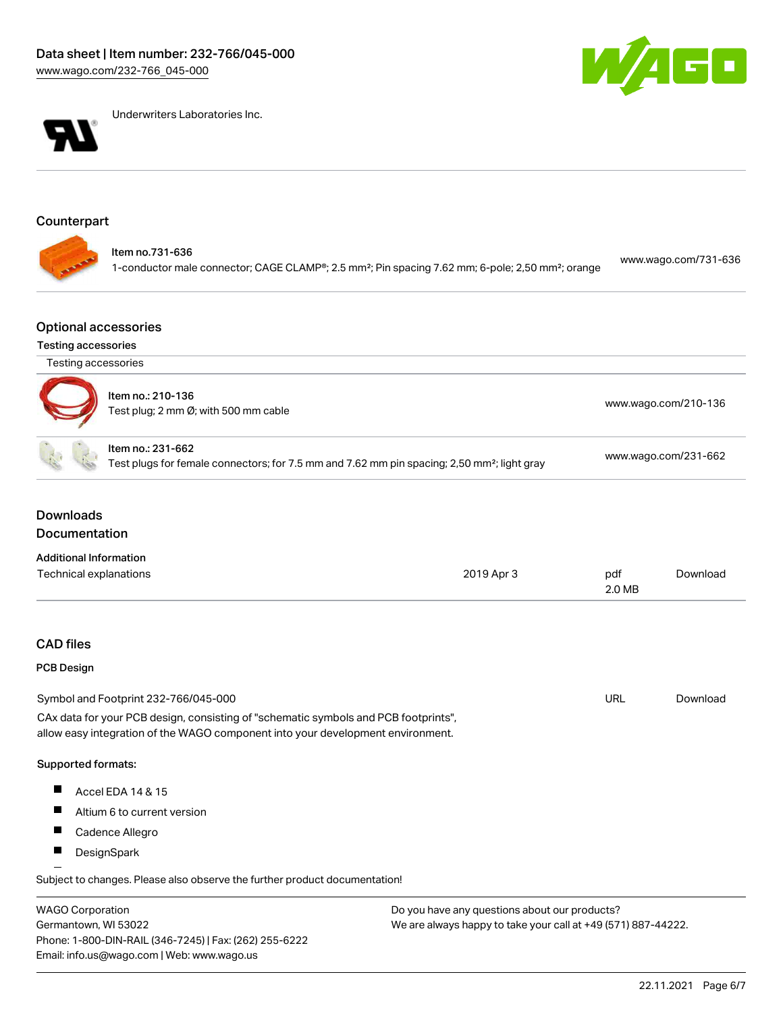



Underwriters Laboratories Inc.

# Counterpart

| 1-conductor male connector; CAGE CLAMP®; 2.5 mm <sup>2</sup> ; Pin spacing 7.62 mm; 6-pole; 2,50 mm <sup>2</sup> ; orange |  | ltem no.731-636 | www.wago.com/731-636 |
|---------------------------------------------------------------------------------------------------------------------------|--|-----------------|----------------------|
|---------------------------------------------------------------------------------------------------------------------------|--|-----------------|----------------------|

## Optional accessories

## Testing accessories

Germantown, WI 53022

Phone: 1-800-DIN-RAIL (346-7245) | Fax: (262) 255-6222

Email: info.us@wago.com | Web: www.wago.us

| Testing accessories                      |                                                                                                                                                                        |                                                                                                         |               |                      |  |  |
|------------------------------------------|------------------------------------------------------------------------------------------------------------------------------------------------------------------------|---------------------------------------------------------------------------------------------------------|---------------|----------------------|--|--|
|                                          | Item no.: 210-136<br>Test plug; 2 mm Ø; with 500 mm cable                                                                                                              |                                                                                                         |               | www.wago.com/210-136 |  |  |
|                                          | Item no.: 231-662                                                                                                                                                      | Test plugs for female connectors; for 7.5 mm and 7.62 mm pin spacing; 2,50 mm <sup>2</sup> ; light gray |               | www.wago.com/231-662 |  |  |
| <b>Downloads</b><br><b>Documentation</b> |                                                                                                                                                                        |                                                                                                         |               |                      |  |  |
| <b>Additional Information</b>            |                                                                                                                                                                        |                                                                                                         |               |                      |  |  |
| Technical explanations                   |                                                                                                                                                                        | 2019 Apr 3                                                                                              | pdf<br>2.0 MB | Download             |  |  |
| <b>CAD files</b>                         |                                                                                                                                                                        |                                                                                                         |               |                      |  |  |
| <b>PCB Design</b>                        |                                                                                                                                                                        |                                                                                                         |               |                      |  |  |
|                                          | Symbol and Footprint 232-766/045-000                                                                                                                                   |                                                                                                         | <b>URL</b>    | Download             |  |  |
|                                          | CAx data for your PCB design, consisting of "schematic symbols and PCB footprints",<br>allow easy integration of the WAGO component into your development environment. |                                                                                                         |               |                      |  |  |
| Supported formats:                       |                                                                                                                                                                        |                                                                                                         |               |                      |  |  |
|                                          | Accel EDA 14 & 15                                                                                                                                                      |                                                                                                         |               |                      |  |  |
| H                                        | Altium 6 to current version                                                                                                                                            |                                                                                                         |               |                      |  |  |
|                                          | Cadence Allegro                                                                                                                                                        |                                                                                                         |               |                      |  |  |
| П                                        | DesignSpark                                                                                                                                                            |                                                                                                         |               |                      |  |  |
|                                          | Subject to changes. Please also observe the further product documentation!                                                                                             |                                                                                                         |               |                      |  |  |
| <b>WAGO Corporation</b>                  |                                                                                                                                                                        | Do you have any questions about our products?                                                           |               |                      |  |  |

We are always happy to take your call at +49 (571) 887-44222.